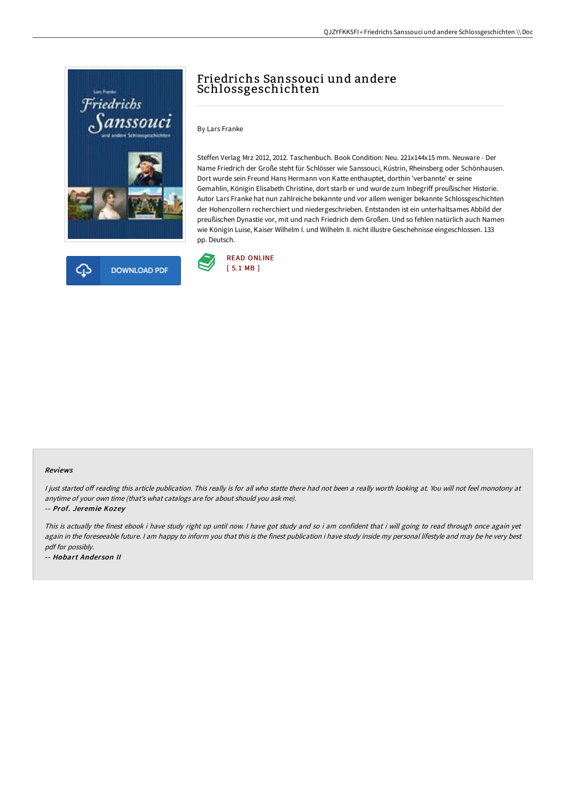



# Friedrichs Sanssouci und andere Schlossgeschichten

By Lars Franke

Steffen Verlag Mrz 2012, 2012. Taschenbuch. Book Condition: Neu. 221x144x15 mm. Neuware - Der Name Friedrich der Große steht für Schlösser wie Sanssouci, Küstrin, Rheinsberg oder Schönhausen. Dort wurde sein Freund Hans Hermann von Katte enthauptet, dorthin 'verbannte' er seine Gemahlin, Königin Elisabeth Christine, dort starb er und wurde zum Inbegriff preußischer Historie. Autor Lars Franke hat nun zahlreiche bekannte und vor allem weniger bekannte Schlossgeschichten der Hohenzollern recherchiert und niedergeschrieben. Entstanden ist ein unterhaltsames Abbild der preußischen Dynastie vor, mit und nach Friedrich dem Großen. Und so fehlen natürlich auch Namen wie Königin Luise, Kaiser Wilhelm I. und Wilhelm II. nicht illustre Geschehnisse eingeschlossen. 133 pp. Deutsch.



### Reviews

I just started off reading this article publication. This really is for all who statte there had not been a really worth looking at. You will not feel monotony at anytime of your own time (that's what catalogs are for about should you ask me).

-- Prof. Jeremie Kozey

This is actually the finest ebook i have study right up until now. <sup>I</sup> have got study and so i am confident that i will going to read through once again yet again in the foreseeable future. I am happy to inform you that this is the finest publication i have study inside my personal lifestyle and may be he very best pdf for possibly.

-- Hobart Ander son II